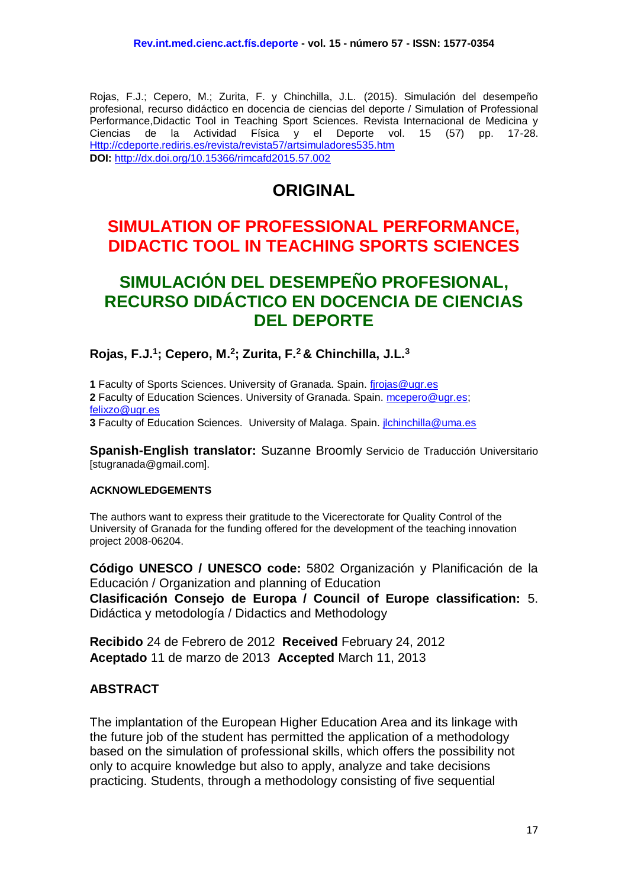Rojas, F.J.; Cepero, M.; Zurita, F. y Chinchilla, J.L. (2015). Simulación del desempeño profesional, recurso didáctico en docencia de ciencias del deporte / Simulation of Professional Performance,Didactic Tool in Teaching Sport Sciences. Revista Internacional de Medicina y Ciencias de la Actividad Física y el Deporte vol. 15 (57) pp. 17-28. [Http://cdeporte.rediris.es/revista/revista57/artsimuladores535.htm](http://cdeporte.rediris.es/revista/revista57/artsimuladores535.htm) **DOI:** <http://dx.doi.org/10.15366/rimcafd2015.57.002>

# **ORIGINAL**

# **SIMULATION OF PROFESSIONAL PERFORMANCE, DIDACTIC TOOL IN TEACHING SPORTS SCIENCES**

# **SIMULACIÓN DEL DESEMPEÑO PROFESIONAL, RECURSO DIDÁCTICO EN DOCENCIA DE CIENCIAS DEL DEPORTE**

**Rojas, F.J.<sup>1</sup> ; Cepero, M. 2 ; Zurita, F.<sup>2</sup> & Chinchilla, J.L.<sup>3</sup>**

**1** Faculty of Sports Sciences. University of Granada. Spain. firojas@ugr.es **2** Faculty of Education Sciences. University of Granada. Spain. [mcepero@ugr.es;](mailto:mcepero@ugr.es) [felixzo@ugr.es](mailto:felixzo@ugr.es)

**3** Faculty of Education Sciences. University of Malaga. Spain. [jlchinchilla@uma.es](mailto:jlchinchilla@uma.es)

**Spanish-English translator:** Suzanne Broomly Servicio de Traducción Universitario [stugranada@gmail.com].

#### **ACKNOWLEDGEMENTS**

The authors want to express their gratitude to the Vicerectorate for Quality Control of the University of Granada for the funding offered for the development of the teaching innovation project 2008-06204.

**Código UNESCO / UNESCO code:** 5802 Organización y Planificación de la Educación / Organization and planning of Education **Clasificación Consejo de Europa / Council of Europe classification:** 5. Didáctica y metodología / Didactics and Methodology

**Recibido** 24 de Febrero de 2012 **Received** February 24, 2012 **Aceptado** 11 de marzo de 2013 **Accepted** March 11, 2013

## **ABSTRACT**

The implantation of the European Higher Education Area and its linkage with the future job of the student has permitted the application of a methodology based on the simulation of professional skills, which offers the possibility not only to acquire knowledge but also to apply, analyze and take decisions practicing. Students, through a methodology consisting of five sequential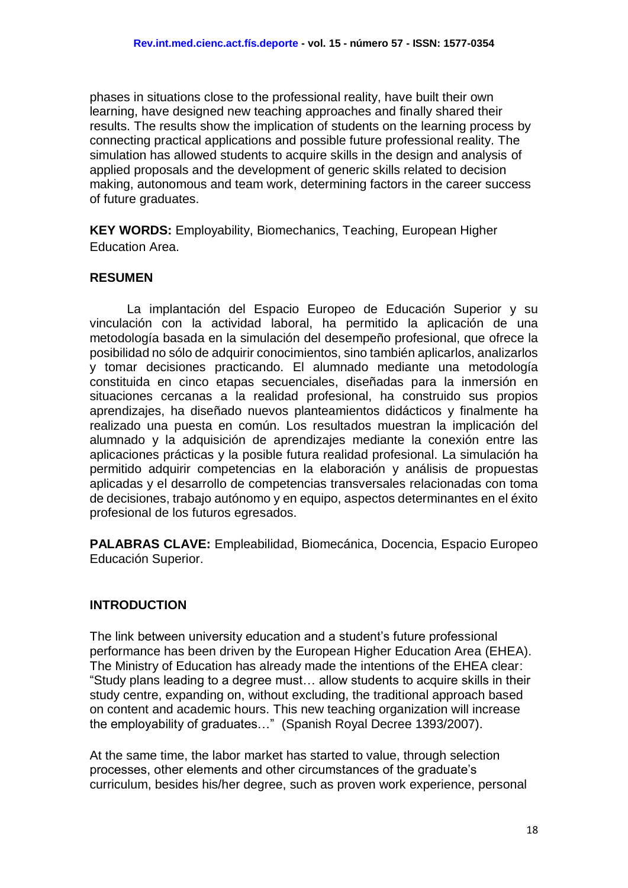phases in situations close to the professional reality, have built their own learning, have designed new teaching approaches and finally shared their results. The results show the implication of students on the learning process by connecting practical applications and possible future professional reality. The simulation has allowed students to acquire skills in the design and analysis of applied proposals and the development of generic skills related to decision making, autonomous and team work, determining factors in the career success of future graduates.

**KEY WORDS:** Employability, Biomechanics, Teaching, European Higher Education Area.

## **RESUMEN**

La implantación del Espacio Europeo de Educación Superior y su vinculación con la actividad laboral, ha permitido la aplicación de una metodología basada en la simulación del desempeño profesional, que ofrece la posibilidad no sólo de adquirir conocimientos, sino también aplicarlos, analizarlos y tomar decisiones practicando. El alumnado mediante una metodología constituida en cinco etapas secuenciales, diseñadas para la inmersión en situaciones cercanas a la realidad profesional, ha construido sus propios aprendizajes, ha diseñado nuevos planteamientos didácticos y finalmente ha realizado una puesta en común. Los resultados muestran la implicación del alumnado y la adquisición de aprendizajes mediante la conexión entre las aplicaciones prácticas y la posible futura realidad profesional. La simulación ha permitido adquirir competencias en la elaboración y análisis de propuestas aplicadas y el desarrollo de competencias transversales relacionadas con toma de decisiones, trabajo autónomo y en equipo, aspectos determinantes en el éxito profesional de los futuros egresados.

**PALABRAS CLAVE:** Empleabilidad, Biomecánica, Docencia, Espacio Europeo Educación Superior.

#### **INTRODUCTION**

The link between university education and a student's future professional performance has been driven by the European Higher Education Area (EHEA). The Ministry of Education has already made the intentions of the EHEA clear: "Study plans leading to a degree must… allow students to acquire skills in their study centre, expanding on, without excluding, the traditional approach based on content and academic hours. This new teaching organization will increase the employability of graduates…" (Spanish Royal Decree 1393/2007).

At the same time, the labor market has started to value, through selection processes, other elements and other circumstances of the graduate's curriculum, besides his/her degree, such as proven work experience, personal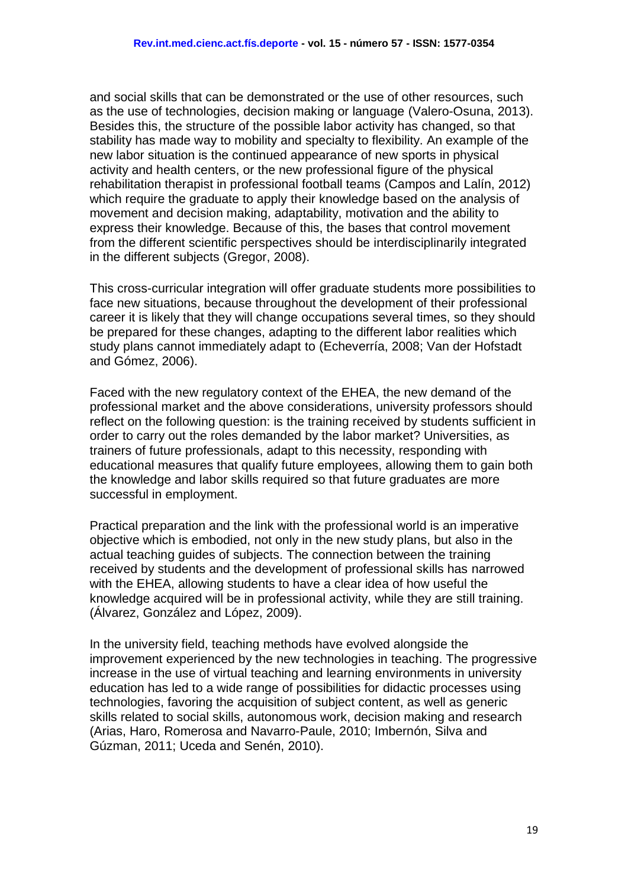and social skills that can be demonstrated or the use of other resources, such as the use of technologies, decision making or language (Valero-Osuna, 2013). Besides this, the structure of the possible labor activity has changed, so that stability has made way to mobility and specialty to flexibility. An example of the new labor situation is the continued appearance of new sports in physical activity and health centers, or the new professional figure of the physical rehabilitation therapist in professional football teams (Campos and Lalín, 2012) which require the graduate to apply their knowledge based on the analysis of movement and decision making, adaptability, motivation and the ability to express their knowledge. Because of this, the bases that control movement from the different scientific perspectives should be interdisciplinarily integrated in the different subjects (Gregor, 2008).

This cross-curricular integration will offer graduate students more possibilities to face new situations, because throughout the development of their professional career it is likely that they will change occupations several times, so they should be prepared for these changes, adapting to the different labor realities which study plans cannot immediately adapt to (Echeverría, 2008; Van der Hofstadt and Gómez, 2006).

Faced with the new regulatory context of the EHEA, the new demand of the professional market and the above considerations, university professors should reflect on the following question: is the training received by students sufficient in order to carry out the roles demanded by the labor market? Universities, as trainers of future professionals, adapt to this necessity, responding with educational measures that qualify future employees, allowing them to gain both the knowledge and labor skills required so that future graduates are more successful in employment.

Practical preparation and the link with the professional world is an imperative objective which is embodied, not only in the new study plans, but also in the actual teaching guides of subjects. The connection between the training received by students and the development of professional skills has narrowed with the EHEA, allowing students to have a clear idea of how useful the knowledge acquired will be in professional activity, while they are still training. (Álvarez, González and López, 2009).

In the university field, teaching methods have evolved alongside the improvement experienced by the new technologies in teaching. The progressive increase in the use of virtual teaching and learning environments in university education has led to a wide range of possibilities for didactic processes using technologies, favoring the acquisition of subject content, as well as generic skills related to social skills, autonomous work, decision making and research (Arias, Haro, Romerosa and Navarro-Paule, 2010; Imbernón, Silva and Gúzman, 2011; Uceda and Senén, 2010).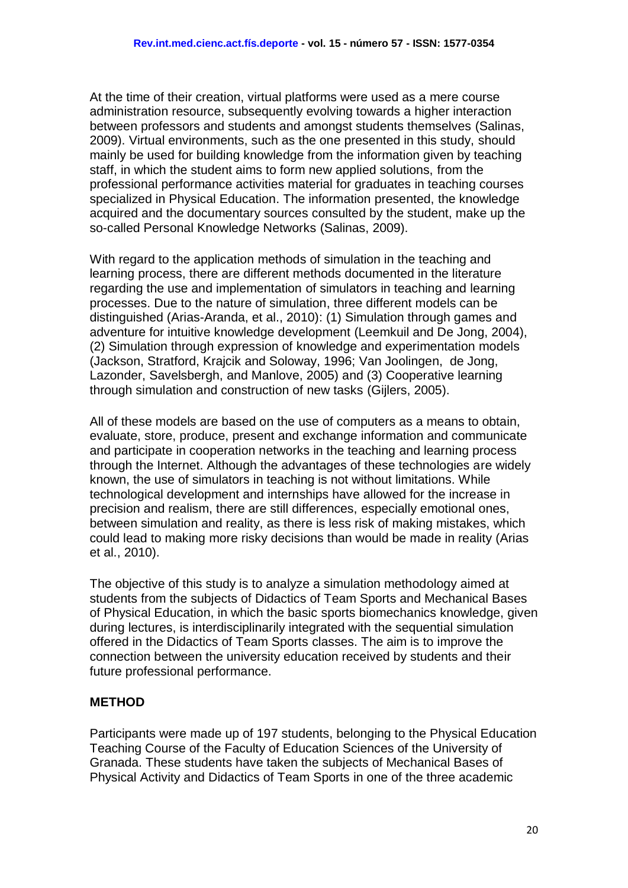At the time of their creation, virtual platforms were used as a mere course administration resource, subsequently evolving towards a higher interaction between professors and students and amongst students themselves (Salinas, 2009). Virtual environments, such as the one presented in this study, should mainly be used for building knowledge from the information given by teaching staff, in which the student aims to form new applied solutions, from the professional performance activities material for graduates in teaching courses specialized in Physical Education. The information presented, the knowledge acquired and the documentary sources consulted by the student, make up the so-called Personal Knowledge Networks (Salinas, 2009).

With regard to the application methods of simulation in the teaching and learning process, there are different methods documented in the literature regarding the use and implementation of simulators in teaching and learning processes. Due to the nature of simulation, three different models can be distinguished (Arias-Aranda, et al., 2010): (1) Simulation through games and adventure for intuitive knowledge development (Leemkuil and De Jong, 2004), (2) Simulation through expression of knowledge and experimentation models (Jackson, Stratford, Krajcik and Soloway, 1996; Van Joolingen, de Jong, Lazonder, Savelsbergh, and Manlove, 2005) and (3) Cooperative learning through simulation and construction of new tasks (Gijlers, 2005).

All of these models are based on the use of computers as a means to obtain, evaluate, store, produce, present and exchange information and communicate and participate in cooperation networks in the teaching and learning process through the Internet. Although the advantages of these technologies are widely known, the use of simulators in teaching is not without limitations. While technological development and internships have allowed for the increase in precision and realism, there are still differences, especially emotional ones, between simulation and reality, as there is less risk of making mistakes, which could lead to making more risky decisions than would be made in reality (Arias et al., 2010).

The objective of this study is to analyze a simulation methodology aimed at students from the subjects of Didactics of Team Sports and Mechanical Bases of Physical Education, in which the basic sports biomechanics knowledge, given during lectures, is interdisciplinarily integrated with the sequential simulation offered in the Didactics of Team Sports classes. The aim is to improve the connection between the university education received by students and their future professional performance.

## **METHOD**

Participants were made up of 197 students, belonging to the Physical Education Teaching Course of the Faculty of Education Sciences of the University of Granada. These students have taken the subjects of Mechanical Bases of Physical Activity and Didactics of Team Sports in one of the three academic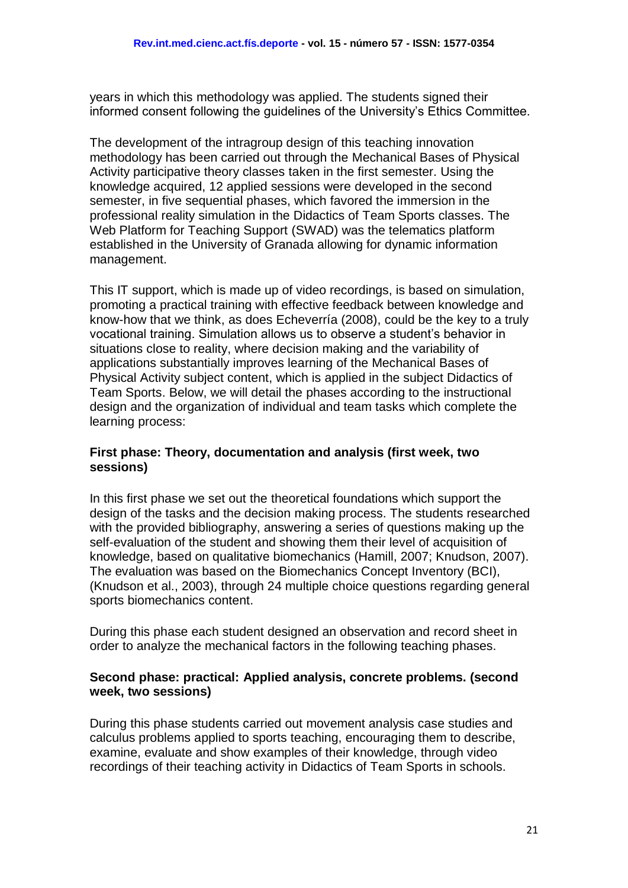years in which this methodology was applied. The students signed their informed consent following the guidelines of the University's Ethics Committee.

The development of the intragroup design of this teaching innovation methodology has been carried out through the Mechanical Bases of Physical Activity participative theory classes taken in the first semester. Using the knowledge acquired, 12 applied sessions were developed in the second semester, in five sequential phases, which favored the immersion in the professional reality simulation in the Didactics of Team Sports classes. The Web Platform for Teaching Support (SWAD) was the telematics platform established in the University of Granada allowing for dynamic information management.

This IT support, which is made up of video recordings, is based on simulation, promoting a practical training with effective feedback between knowledge and know-how that we think, as does Echeverría (2008), could be the key to a truly vocational training. Simulation allows us to observe a student's behavior in situations close to reality, where decision making and the variability of applications substantially improves learning of the Mechanical Bases of Physical Activity subject content, which is applied in the subject Didactics of Team Sports. Below, we will detail the phases according to the instructional design and the organization of individual and team tasks which complete the learning process:

#### **First phase: Theory, documentation and analysis (first week, two sessions)**

In this first phase we set out the theoretical foundations which support the design of the tasks and the decision making process. The students researched with the provided bibliography, answering a series of questions making up the self-evaluation of the student and showing them their level of acquisition of knowledge, based on qualitative biomechanics (Hamill, 2007; Knudson, 2007). The evaluation was based on the Biomechanics Concept Inventory (BCI), (Knudson et al., 2003), through 24 multiple choice questions regarding general sports biomechanics content.

During this phase each student designed an observation and record sheet in order to analyze the mechanical factors in the following teaching phases.

#### **Second phase: practical: Applied analysis, concrete problems. (second week, two sessions)**

During this phase students carried out movement analysis case studies and calculus problems applied to sports teaching, encouraging them to describe, examine, evaluate and show examples of their knowledge, through video recordings of their teaching activity in Didactics of Team Sports in schools.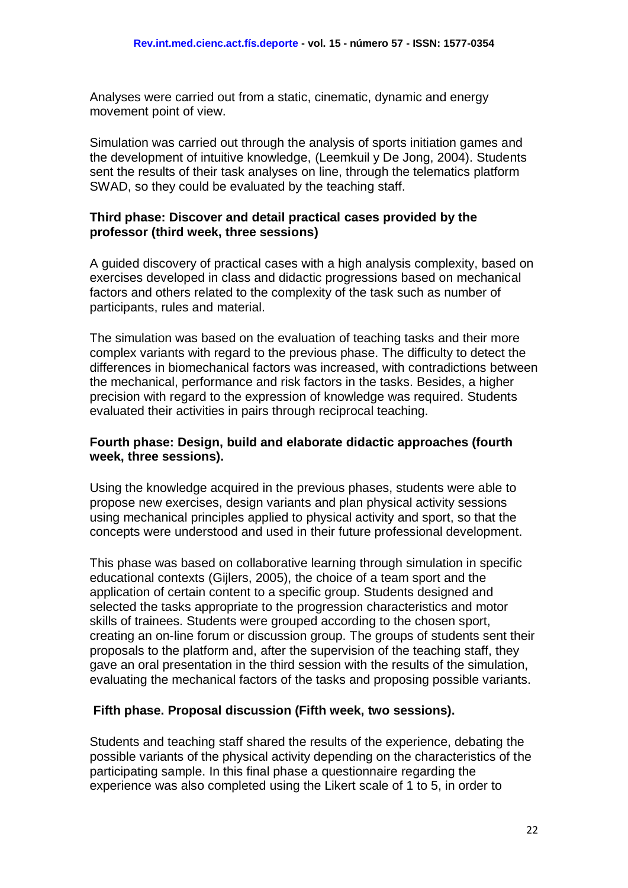Analyses were carried out from a static, cinematic, dynamic and energy movement point of view.

Simulation was carried out through the analysis of sports initiation games and the development of intuitive knowledge, (Leemkuil y De Jong, 2004). Students sent the results of their task analyses on line, through the telematics platform SWAD, so they could be evaluated by the teaching staff.

#### **Third phase: Discover and detail practical cases provided by the professor (third week, three sessions)**

A guided discovery of practical cases with a high analysis complexity, based on exercises developed in class and didactic progressions based on mechanical factors and others related to the complexity of the task such as number of participants, rules and material.

The simulation was based on the evaluation of teaching tasks and their more complex variants with regard to the previous phase. The difficulty to detect the differences in biomechanical factors was increased, with contradictions between the mechanical, performance and risk factors in the tasks. Besides, a higher precision with regard to the expression of knowledge was required. Students evaluated their activities in pairs through reciprocal teaching.

#### **Fourth phase: Design, build and elaborate didactic approaches (fourth week, three sessions).**

Using the knowledge acquired in the previous phases, students were able to propose new exercises, design variants and plan physical activity sessions using mechanical principles applied to physical activity and sport, so that the concepts were understood and used in their future professional development.

This phase was based on collaborative learning through simulation in specific educational contexts (Gijlers, 2005), the choice of a team sport and the application of certain content to a specific group. Students designed and selected the tasks appropriate to the progression characteristics and motor skills of trainees. Students were grouped according to the chosen sport, creating an on-line forum or discussion group. The groups of students sent their proposals to the platform and, after the supervision of the teaching staff, they gave an oral presentation in the third session with the results of the simulation, evaluating the mechanical factors of the tasks and proposing possible variants.

#### **Fifth phase. Proposal discussion (Fifth week, two sessions).**

Students and teaching staff shared the results of the experience, debating the possible variants of the physical activity depending on the characteristics of the participating sample. In this final phase a questionnaire regarding the experience was also completed using the Likert scale of 1 to 5, in order to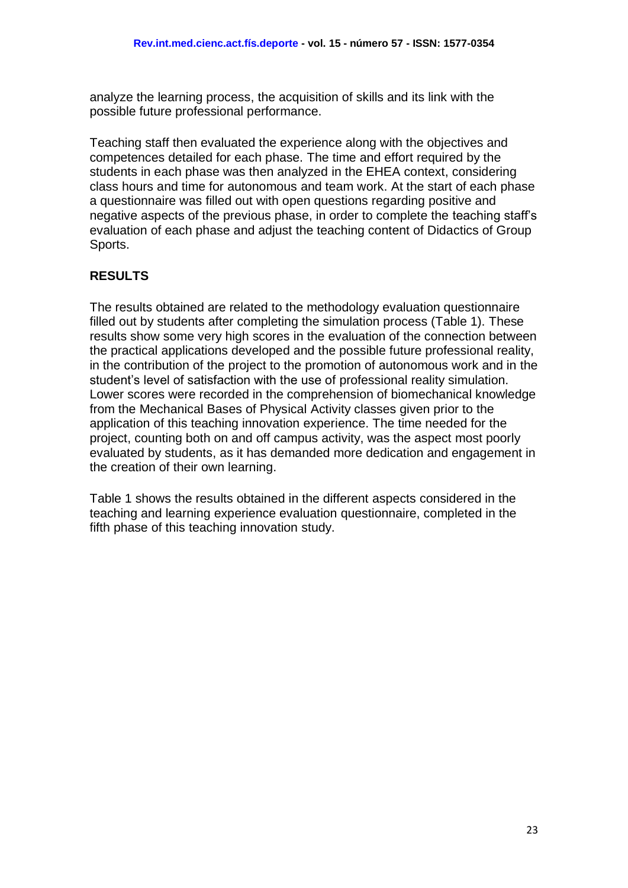analyze the learning process, the acquisition of skills and its link with the possible future professional performance.

Teaching staff then evaluated the experience along with the objectives and competences detailed for each phase. The time and effort required by the students in each phase was then analyzed in the EHEA context, considering class hours and time for autonomous and team work. At the start of each phase a questionnaire was filled out with open questions regarding positive and negative aspects of the previous phase, in order to complete the teaching staff's evaluation of each phase and adjust the teaching content of Didactics of Group Sports.

# **RESULTS**

The results obtained are related to the methodology evaluation questionnaire filled out by students after completing the simulation process (Table 1). These results show some very high scores in the evaluation of the connection between the practical applications developed and the possible future professional reality, in the contribution of the project to the promotion of autonomous work and in the student's level of satisfaction with the use of professional reality simulation. Lower scores were recorded in the comprehension of biomechanical knowledge from the Mechanical Bases of Physical Activity classes given prior to the application of this teaching innovation experience. The time needed for the project, counting both on and off campus activity, was the aspect most poorly evaluated by students, as it has demanded more dedication and engagement in the creation of their own learning.

Table 1 shows the results obtained in the different aspects considered in the teaching and learning experience evaluation questionnaire, completed in the fifth phase of this teaching innovation study.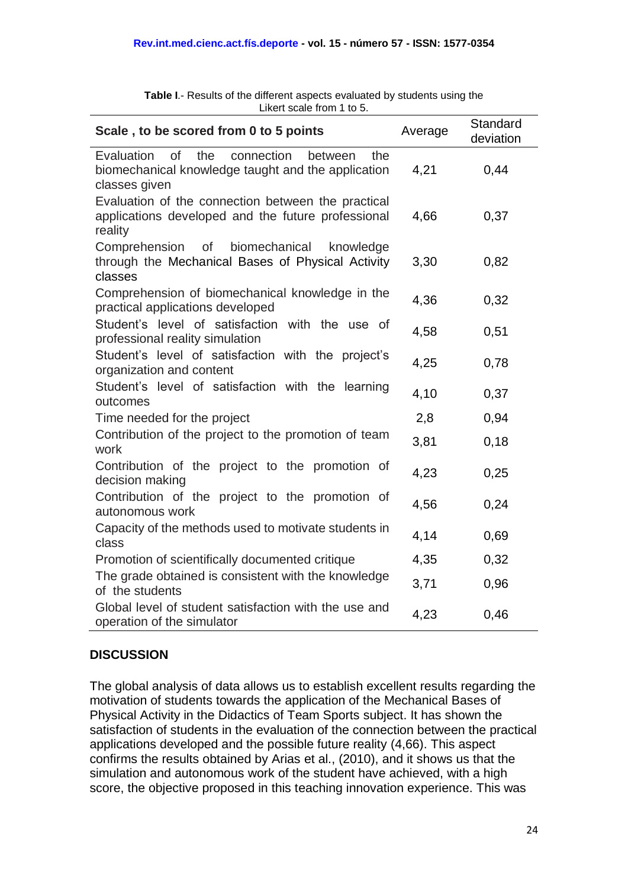| Scale, to be scored from 0 to 5 points                                                                                         | Average | Standard<br>deviation |
|--------------------------------------------------------------------------------------------------------------------------------|---------|-----------------------|
| of<br>Evaluation<br>the<br>connection<br>between<br>the<br>biomechanical knowledge taught and the application<br>classes given | 4,21    | 0,44                  |
| Evaluation of the connection between the practical<br>applications developed and the future professional<br>reality            | 4,66    | 0,37                  |
| Comprehension<br>biomechanical<br><b>of</b><br>knowledge<br>through the Mechanical Bases of Physical Activity<br>classes       | 3,30    | 0,82                  |
| Comprehension of biomechanical knowledge in the<br>practical applications developed                                            | 4,36    | 0,32                  |
| Student's level of satisfaction with the use of<br>professional reality simulation                                             | 4,58    | 0,51                  |
| Student's level of satisfaction with the project's<br>organization and content                                                 | 4,25    | 0,78                  |
| Student's level of satisfaction with the learning<br>outcomes                                                                  | 4,10    | 0,37                  |
| Time needed for the project                                                                                                    | 2,8     | 0,94                  |
| Contribution of the project to the promotion of team<br>work                                                                   | 3,81    | 0,18                  |
| Contribution of the project to the promotion of<br>decision making                                                             | 4,23    | 0,25                  |
| Contribution of the project to the promotion of<br>autonomous work                                                             | 4,56    | 0,24                  |
| Capacity of the methods used to motivate students in<br>class                                                                  | 4,14    | 0,69                  |
| Promotion of scientifically documented critique                                                                                | 4,35    | 0,32                  |
| The grade obtained is consistent with the knowledge<br>of the students                                                         | 3,71    | 0,96                  |
| Global level of student satisfaction with the use and<br>operation of the simulator                                            | 4,23    | 0,46                  |

**Table I**.- Results of the different aspects evaluated by students using the Likert scale from 1 to 5.

# **DISCUSSION**

The global analysis of data allows us to establish excellent results regarding the motivation of students towards the application of the Mechanical Bases of Physical Activity in the Didactics of Team Sports subject. It has shown the satisfaction of students in the evaluation of the connection between the practical applications developed and the possible future reality (4,66). This aspect confirms the results obtained by Arias et al., (2010), and it shows us that the simulation and autonomous work of the student have achieved, with a high score, the objective proposed in this teaching innovation experience. This was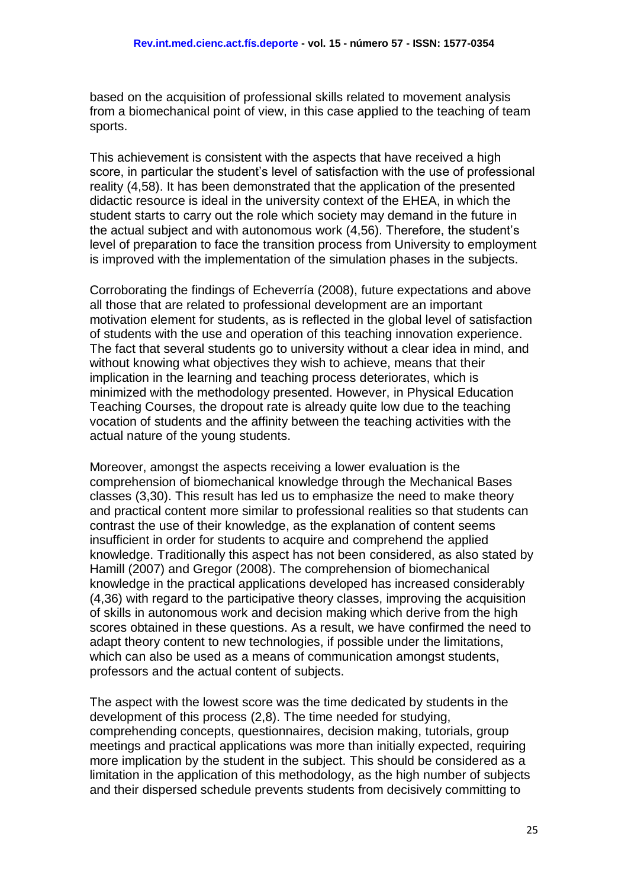based on the acquisition of professional skills related to movement analysis from a biomechanical point of view, in this case applied to the teaching of team sports.

This achievement is consistent with the aspects that have received a high score, in particular the student's level of satisfaction with the use of professional reality (4,58). It has been demonstrated that the application of the presented didactic resource is ideal in the university context of the EHEA, in which the student starts to carry out the role which society may demand in the future in the actual subject and with autonomous work (4,56). Therefore, the student's level of preparation to face the transition process from University to employment is improved with the implementation of the simulation phases in the subjects.

Corroborating the findings of Echeverría (2008), future expectations and above all those that are related to professional development are an important motivation element for students, as is reflected in the global level of satisfaction of students with the use and operation of this teaching innovation experience. The fact that several students go to university without a clear idea in mind, and without knowing what objectives they wish to achieve, means that their implication in the learning and teaching process deteriorates, which is minimized with the methodology presented. However, in Physical Education Teaching Courses, the dropout rate is already quite low due to the teaching vocation of students and the affinity between the teaching activities with the actual nature of the young students.

Moreover, amongst the aspects receiving a lower evaluation is the comprehension of biomechanical knowledge through the Mechanical Bases classes (3,30). This result has led us to emphasize the need to make theory and practical content more similar to professional realities so that students can contrast the use of their knowledge, as the explanation of content seems insufficient in order for students to acquire and comprehend the applied knowledge. Traditionally this aspect has not been considered, as also stated by Hamill (2007) and Gregor (2008). The comprehension of biomechanical knowledge in the practical applications developed has increased considerably (4,36) with regard to the participative theory classes, improving the acquisition of skills in autonomous work and decision making which derive from the high scores obtained in these questions. As a result, we have confirmed the need to adapt theory content to new technologies, if possible under the limitations, which can also be used as a means of communication amongst students, professors and the actual content of subjects.

The aspect with the lowest score was the time dedicated by students in the development of this process (2,8). The time needed for studying, comprehending concepts, questionnaires, decision making, tutorials, group meetings and practical applications was more than initially expected, requiring more implication by the student in the subject. This should be considered as a limitation in the application of this methodology, as the high number of subjects and their dispersed schedule prevents students from decisively committing to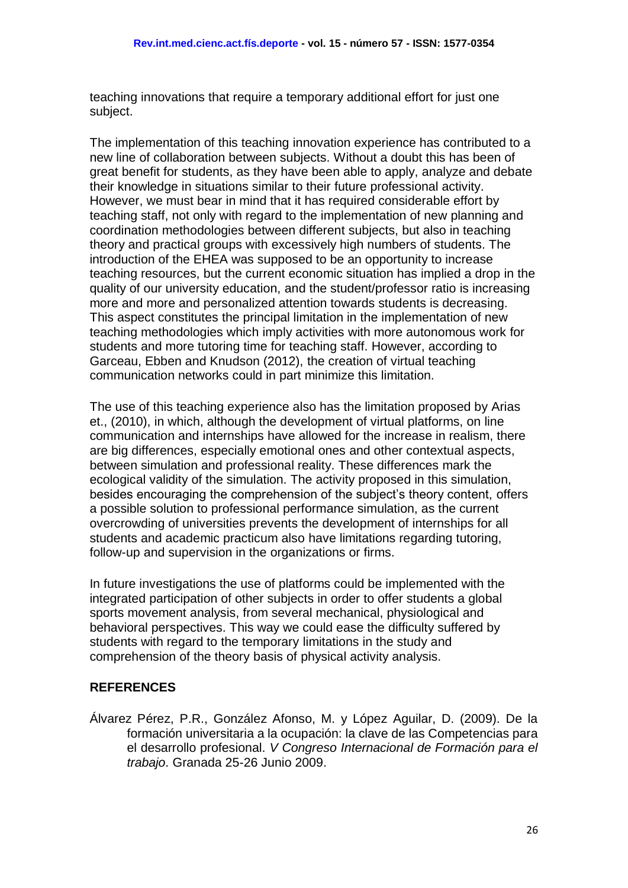teaching innovations that require a temporary additional effort for just one subject.

The implementation of this teaching innovation experience has contributed to a new line of collaboration between subjects. Without a doubt this has been of great benefit for students, as they have been able to apply, analyze and debate their knowledge in situations similar to their future professional activity. However, we must bear in mind that it has required considerable effort by teaching staff, not only with regard to the implementation of new planning and coordination methodologies between different subjects, but also in teaching theory and practical groups with excessively high numbers of students. The introduction of the EHEA was supposed to be an opportunity to increase teaching resources, but the current economic situation has implied a drop in the quality of our university education, and the student/professor ratio is increasing more and more and personalized attention towards students is decreasing. This aspect constitutes the principal limitation in the implementation of new teaching methodologies which imply activities with more autonomous work for students and more tutoring time for teaching staff. However, according to Garceau, Ebben and Knudson (2012), the creation of virtual teaching communication networks could in part minimize this limitation.

The use of this teaching experience also has the limitation proposed by Arias et., (2010), in which, although the development of virtual platforms, on line communication and internships have allowed for the increase in realism, there are big differences, especially emotional ones and other contextual aspects, between simulation and professional reality. These differences mark the ecological validity of the simulation. The activity proposed in this simulation, besides encouraging the comprehension of the subject's theory content, offers a possible solution to professional performance simulation, as the current overcrowding of universities prevents the development of internships for all students and academic practicum also have limitations regarding tutoring, follow-up and supervision in the organizations or firms.

In future investigations the use of platforms could be implemented with the integrated participation of other subjects in order to offer students a global sports movement analysis, from several mechanical, physiological and behavioral perspectives. This way we could ease the difficulty suffered by students with regard to the temporary limitations in the study and comprehension of the theory basis of physical activity analysis.

## **REFERENCES**

Álvarez Pérez, P.R., González Afonso, M. y López Aguilar, D. (2009). De la formación universitaria a la ocupación: la clave de las Competencias para el desarrollo profesional. *V Congreso Internacional de Formación para el trabajo*. Granada 25-26 Junio 2009.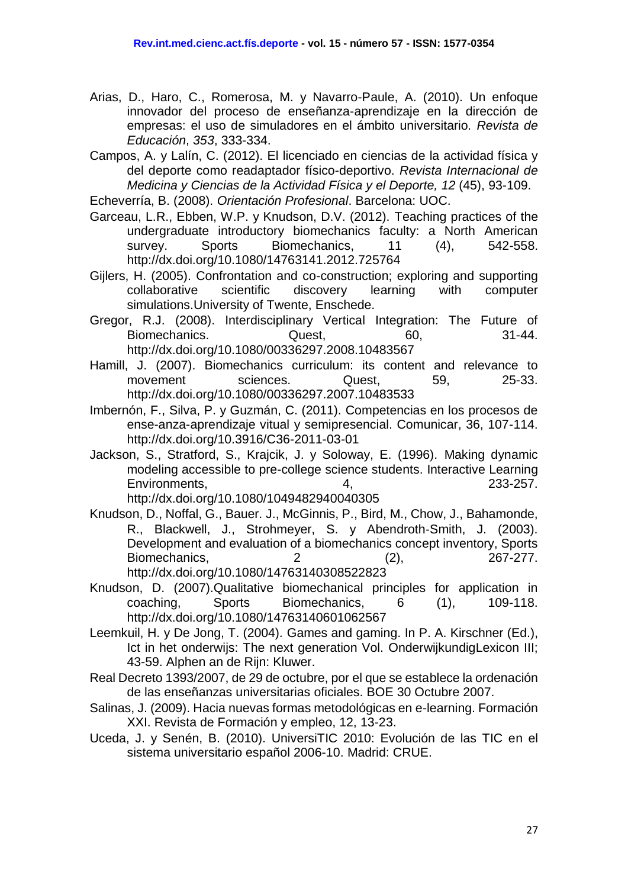Arias, D., Haro, C., Romerosa, M. y Navarro-Paule, A. (2010). Un enfoque innovador del proceso de enseñanza-aprendizaje en la dirección de empresas: el uso de simuladores en el ámbito universitario*. Revista de Educación*, *353*, 333-334.

Campos, A. y Lalín, C. (2012). El licenciado en ciencias de la actividad física y del deporte como readaptador físico-deportivo. *Revista Internacional de Medicina y Ciencias de la Actividad Física y el Deporte, 12* (45), 93-109.

Echeverría, B. (2008). *Orientación Profesional*. Barcelona: UOC.

- Garceau, L.R., Ebben, W.P. y Knudson, D.V. (2012). Teaching practices of the undergraduate introductory biomechanics faculty: a North American survey. Sports Biomechanics, 11 (4), 542-558. <http://dx.doi.org/10.1080/14763141.2012.725764>
- Gijlers, H. (2005). Confrontation and co-construction; exploring and supporting collaborative scientific discovery learning with computer simulations.University of Twente, Enschede.
- Gregor, R.J. (2008). Interdisciplinary Vertical Integration: The Future of Biomechanics. Quest, 60, 31-44. <http://dx.doi.org/10.1080/00336297.2008.10483567>
- Hamill, J. (2007). Biomechanics curriculum: its content and relevance to movement sciences. Quest, 59, 25-33. <http://dx.doi.org/10.1080/00336297.2007.10483533>
- Imbernón, F., Silva, P. y Guzmán, C. (2011). Competencias en los procesos de ense-anza-aprendizaje vitual y semipresencial. Comunicar, 36, 107-114. <http://dx.doi.org/10.3916/C36-2011-03-01>
- Jackson, S., Stratford, S., Krajcik, J. y Soloway, E. (1996). Making dynamic modeling accessible to pre-college science students. Interactive Learning Environments, 4, 233-257. <http://dx.doi.org/10.1080/1049482940040305>
- Knudson, D., Noffal, G., Bauer. J., McGinnis, P., Bird, M., Chow, J., Bahamonde, R., Blackwell, J., Strohmeyer, S. y Abendroth‐Smith, J. (2003). Development and evaluation of a biomechanics concept inventory, Sports Biomechanics, 2 (2), 267-277. <http://dx.doi.org/10.1080/14763140308522823>
- Knudson, D. (2007).Qualitative biomechanical principles for application in coaching, Sports Biomechanics, 6 (1), 109-118. <http://dx.doi.org/10.1080/14763140601062567>
- Leemkuil, H. y De Jong, T. (2004). Games and gaming. In P. A. Kirschner (Ed.), Ict in het onderwijs: The next generation Vol. OnderwijkundigLexicon III; 43-59. Alphen an de Rijn: Kluwer.
- Real Decreto 1393/2007, de 29 de octubre, por el que se establece la ordenación de las enseñanzas universitarias oficiales. BOE 30 Octubre 2007.
- Salinas, J. (2009). Hacia nuevas formas metodológicas en e-learning. Formación XXI. Revista de Formación y empleo, 12, 13-23.
- Uceda, J. y Senén, B. (2010). UniversiTIC 2010: Evolución de las TIC en el sistema universitario español 2006-10. Madrid: CRUE.